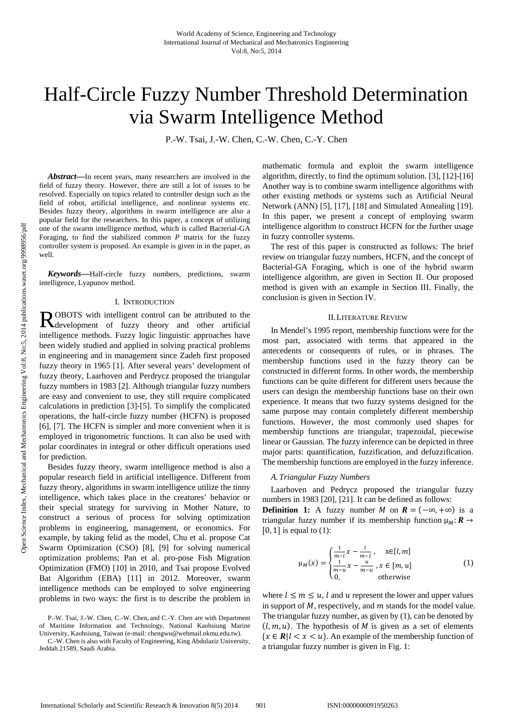# Half-Circle Fuzzy Number Threshold Determination via Swarm Intelligence Method

P.-W. Tsai, J.-W. Chen, C.-W. Chen, C.-Y. Chen

*Abstract***—**In recent years, many researchers are involved in the field of fuzzy theory. However, there are still a lot of issues to be resolved. Especially on topics related to controller design such as the field of robot, artificial intelligence, and nonlinear systems etc. Besides fuzzy theory, algorithms in swarm intelligence are also a popular field for the researchers. In this paper, a concept of utilizing one of the swarm intelligence method, which is called Bacterial-GA Foraging, to find the stabilized common *P* matrix for the fuzzy controller system is proposed. An example is given in in the paper, as well.

*Keywords***—**Half-circle fuzzy numbers, predictions, swarm intelligence, Lyapunov method.

#### I. INTRODUCTION

OBOTS with intelligent control can be attributed to the ROBOTS with intelligent control can be attributed to the development of fuzzy theory and other artificial intelligence methods. Fuzzy logic linguistic approaches have been widely studied and applied in solving practical problems in engineering and in management since Zadeh first proposed fuzzy theory in 1965 [1]. After several years' development of fuzzy theory, Laarhoven and Perdrycz proposed the triangular fuzzy numbers in 1983 [2]. Although triangular fuzzy numbers are easy and convenient to use, they still require complicated calculations in prediction [3]-[5]. To simplify the complicated operations, the half-circle fuzzy number (HCFN) is proposed [6], [7]. The HCFN is simpler and more convenient when it is employed in trigonometric functions. It can also be used with polar coordinates in integral or other difficult operations used for prediction.

Besides fuzzy theory, swarm intelligence method is also a popular research field in artificial intelligence. Different from fuzzy theory, algorithms in swarm intelligence utilize the tinny intelligence, which takes place in the creatures' behavior or their special strategy for surviving in Mother Nature, to construct a serious of process for solving optimization problems in engineering, management, or economics. For example, by taking felid as the model, Chu et al. propose Cat Swarm Optimization (CSO) [8], [9] for solving numerical optimization problems; Pan et al. pro-pose Fish Migration Optimization (FMO) [10] in 2010, and Tsai propose Evolved Bat Algorithm (EBA) [11] in 2012. Moreover, swarm intelligence methods can be employed to solve engineering problems in two ways: the first is to describe the problem in mathematic formula and exploit the swarm intelligence algorithm, directly, to find the optimum solution. [3], [12]-[16] Another way is to combine swarm intelligence algorithms with other existing methods or systems such as Artificial Neural Network (ANN) [5], [17], [18] and Simulated Annealing [19]. In this paper, we present a concept of employing swarm intelligence algorithm to construct HCFN for the further usage in fuzzy controller systems.

The rest of this paper is constructed as follows: The brief review on triangular fuzzy numbers, HCFN, and the concept of Bacterial-GA Foraging, which is one of the hybrid swarm intelligence algorithm, are given in Section II. Our proposed method is given with an example in Section III. Finally, the conclusion is given in Section IV.

## II.LITERATURE REVIEW

In Mendel's 1995 report, membership functions were for the most part, associated with terms that appeared in the antecedents or consequents of rules, or in phrases. The membership functions used in the fuzzy theory can be constructed in different forms. In other words, the membership functions can be quite different for different users because the users can design the membership functions base on their own experience. It means that two fuzzy systems designed for the same purpose may contain completely different membership functions. However, the most commonly used shapes for membership functions are triangular, trapezoidal, piecewise linear or Gaussian. The fuzzy inference can be depicted in three major parts: quantification, fuzzification, and defuzzification. The membership functions are employed in the fuzzy inference.

## *A.Triangular Fuzzy Numbers*

Laarhoven and Pedrycz proposed the triangular fuzzy numbers in 1983 [20], [21]. It can be defined as follows:

**Definition 1:** A fuzzy number *M* on  $R = (-\infty, +\infty)$  is a triangular fuzzy number if its membership function  $\mu_M: \mathbf{R} \to$  $[0, 1]$  is equal to  $(1)$ :

$$
\mu_M(x) = \begin{cases} \frac{1}{m-l} x - \frac{l}{m-l} , & x \in [l, m] \\ \frac{1}{m-u} x - \frac{u}{m-u} , x \in [m, u] \\ 0, & \text{otherwise} \end{cases}
$$
(1)

where  $l \leq m \leq u$ , l and u represent the lower and upper values in support of  $M$ , respectively, and  $m$  stands for the model value. The triangular fuzzy number, as given by (1), can be denoted by  $(l, m, u)$ . The hypothesis of *M* is given as a set of elements  ${x \in R | l < x < u}$ . An example of the membership function of a triangular fuzzy number is given in Fig. 1:

P.-W. Tsai, J.-W. Chen, C.-W. Chen, and C.-Y. Chen are with Department of Maritime Information and Technology, National Kaohsiung Marine University, Kaohsiung, Taiwan (e-mail: chengwu@webmail.nkmu.edu.tw).

C.-W. Chen is also with Faculty of Engineering, King Abdulaziz University, Jeddah 21589, Saudi Arabia.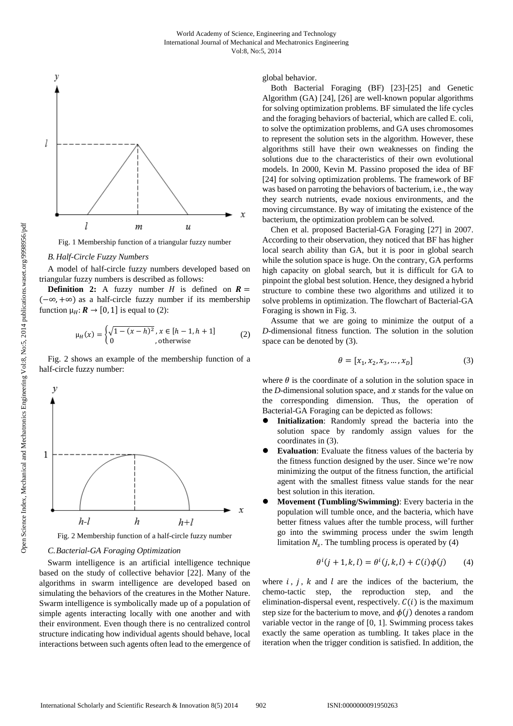

Fig. 1 Membership function of a triangular fuzzy number

### *B.Half-Circle Fuzzy Numbers*

A model of half-circle fuzzy numbers developed based on triangular fuzzy numbers is described as follows:

**Definition 2:** A fuzzy number  $H$  is defined on  $R =$  $(-\infty, +\infty)$  as a half-circle fuzzy number if its membership function  $\mu_H: \mathbf{R} \to [0, 1]$  is equal to (2):

$$
\mu_H(x) = \begin{cases} \sqrt{1 - (x - h)^2}, x \in [h - 1, h + 1] \\ 0, \text{otherwise} \end{cases}
$$
 (2)

Fig. 2 shows an example of the membership function of a half-circle fuzzy number:



Fig. 2 Membership function of a half-circle fuzzy number

# *C.Bacterial-GA Foraging Optimization*

Swarm intelligence is an artificial intelligence technique based on the study of collective behavior [22]. Many of the algorithms in swarm intelligence are developed based on simulating the behaviors of the creatures in the Mother Nature. Swarm intelligence is symbolically made up of a population of simple agents interacting locally with one another and with their environment. Even though there is no centralized control structure indicating how individual agents should behave, local interactions between such agents often lead to the emergence of global behavior.

Both Bacterial Foraging (BF) [23]-[25] and Genetic Algorithm (GA) [24], [26] are well-known popular algorithms for solving optimization problems. BF simulated the life cycles and the foraging behaviors of bacterial, which are called E. coli, to solve the optimization problems, and GA uses chromosomes to represent the solution sets in the algorithm. However, these algorithms still have their own weaknesses on finding the solutions due to the characteristics of their own evolutional models. In 2000, Kevin M. Passino proposed the idea of BF [24] for solving optimization problems. The framework of BF was based on parroting the behaviors of bacterium, i.e., the way they search nutrients, evade noxious environments, and the moving circumstance. By way of imitating the existence of the bacterium, the optimization problem can be solved.

Chen et al. proposed Bacterial-GA Foraging [27] in 2007. According to their observation, they noticed that BF has higher local search ability than GA, but it is poor in global search while the solution space is huge. On the contrary, GA performs high capacity on global search, but it is difficult for GA to pinpoint the global best solution. Hence, they designed a hybrid structure to combine these two algorithms and utilized it to solve problems in optimization. The flowchart of Bacterial-GA Foraging is shown in Fig. 3.

Assume that we are going to minimize the output of a *D*-dimensional fitness function. The solution in the solution space can be denoted by (3).

$$
\theta = [x_1, x_2, x_3, ..., x_D]
$$
 (3)

where  $\theta$  is the coordinate of a solution in the solution space in the *D*-dimensional solution space, and  $x$  stands for the value on the corresponding dimension. Thus, the operation of Bacterial-GA Foraging can be depicted as follows:

- **Initialization:** Randomly spread the bacteria into the solution space by randomly assign values for the coordinates in (3).
- **Evaluation**: Evaluate the fitness values of the bacteria by the fitness function designed by the user. Since we're now minimizing the output of the fitness function, the artificial agent with the smallest fitness value stands for the near best solution in this iteration.
- **Movement (Tumbling/Swimming)**: Every bacteria in the population will tumble once, and the bacteria, which have better fitness values after the tumble process, will further go into the swimming process under the swim length limitation  $N_s$ . The tumbling process is operated by (4)

$$
\theta^{i}(j+1,k,l) = \theta^{i}(j,k,l) + C(i)\phi(j) \qquad (4)
$$

where  $i$ ,  $j$ ,  $k$  and  $l$  are the indices of the bacterium, the chemo-tactic step, the reproduction step, and the elimination-dispersal event, respectively.  $C(i)$  is the maximum step size for the bacterium to move, and  $\phi(i)$  denotes a random variable vector in the range of [0, 1]. Swimming process takes exactly the same operation as tumbling. It takes place in the iteration when the trigger condition is satisfied. In addition, the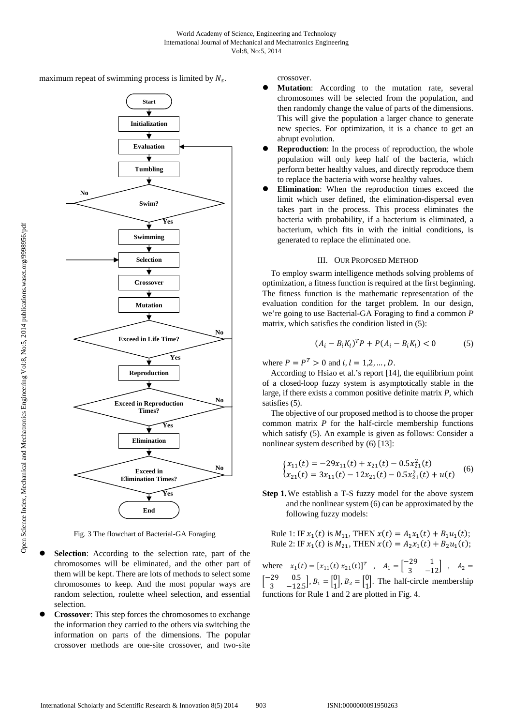maximum repeat of swimming process is limited by  $N_s$ .



Fig. 3 The flowchart of Bacterial-GA Foraging

- **Selection**: According to the selection rate, part of the chromosomes will be eliminated, and the other part of them will be kept. There are lots of methods to select some chromosomes to keep. And the most popular ways are random selection, roulette wheel selection, and essential selection.
- **Crossover**: This step forces the chromosomes to exchange the information they carried to the others via switching the information on parts of the dimensions. The popular crossover methods are one-site crossover, and two-site

crossover.

- Mutation: According to the mutation rate, several chromosomes will be selected from the population, and then randomly change the value of parts of the dimensions. This will give the population a larger chance to generate new species. For optimization, it is a chance to get an abrupt evolution.
- **Reproduction**: In the process of reproduction, the whole population will only keep half of the bacteria, which perform better healthy values, and directly reproduce them to replace the bacteria with worse healthy values.
- **Elimination**: When the reproduction times exceed the limit which user defined, the elimination-dispersal even takes part in the process. This process eliminates the bacteria with probability, if a bacterium is eliminated, a bacterium, which fits in with the initial conditions, is generated to replace the eliminated one.

# III. OUR PROPOSED METHOD

To employ swarm intelligence methods solving problems of optimization, a fitness function is required at the first beginning. The fitness function is the mathematic representation of the evaluation condition for the target problem. In our design, we're going to use Bacterial-GA Foraging to find a common *P* matrix, which satisfies the condition listed in (5):

$$
(A_i - B_i K_l)^T P + P(A_i - B_i K_l) < 0 \tag{5}
$$

where  $P = P^T > 0$  and  $i, l = 1, 2, \dots, D$ .

According to Hsiao et al.'s report [14], the equilibrium point of a closed-loop fuzzy system is asymptotically stable in the large, if there exists a common positive definite matrix *P*, which satisfies (5).

The objective of our proposed method is to choose the proper common matrix *P* for the half-circle membership functions which satisfy (5). An example is given as follows: Consider a nonlinear system described by (6) [13]:

$$
\begin{cases}\nx_{11}(t) = -29x_{11}(t) + x_{21}(t) - 0.5x_{21}^2(t) \\
x_{21}(t) = 3x_{11}(t) - 12x_{21}(t) - 0.5x_{21}^2(t) + u(t)\n\end{cases} (6)
$$

- **Step 1.**We establish a T-S fuzzy model for the above system and the nonlinear system (6) can be approximated by the following fuzzy models:
	- Rule 1: IF  $x_1(t)$  is  $M_{11}$ , THEN  $x(t) = A_1 x_1(t) + B_1 u_1(t)$ ; Rule 2: IF  $x_1(t)$  is  $M_{21}$ , THEN  $x(t) = A_2 x_1(t) + B_2 u_1(t)$ ;

where  $x_1(t) = [x_{11}(t) x_{21}(t)]^T$ ,  $A_1 = \begin{bmatrix} -29 & 1 \\ 3 & -12 \end{bmatrix}$ ,  $A_2 =$  $\begin{bmatrix} -29 & 0.5 \\ 3 & -12.5 \end{bmatrix}$ ,  $B_1 = \begin{bmatrix} 0 \\ 1 \end{bmatrix}$  $\begin{bmatrix} 0 \\ 1 \end{bmatrix}$ ,  $B_2 = \begin{bmatrix} 0 \\ 1 \end{bmatrix}$  $\begin{bmatrix} 0 \\ 1 \end{bmatrix}$ . The half-circle membership functions for Rule 1 and 2 are plotted in Fig. 4.